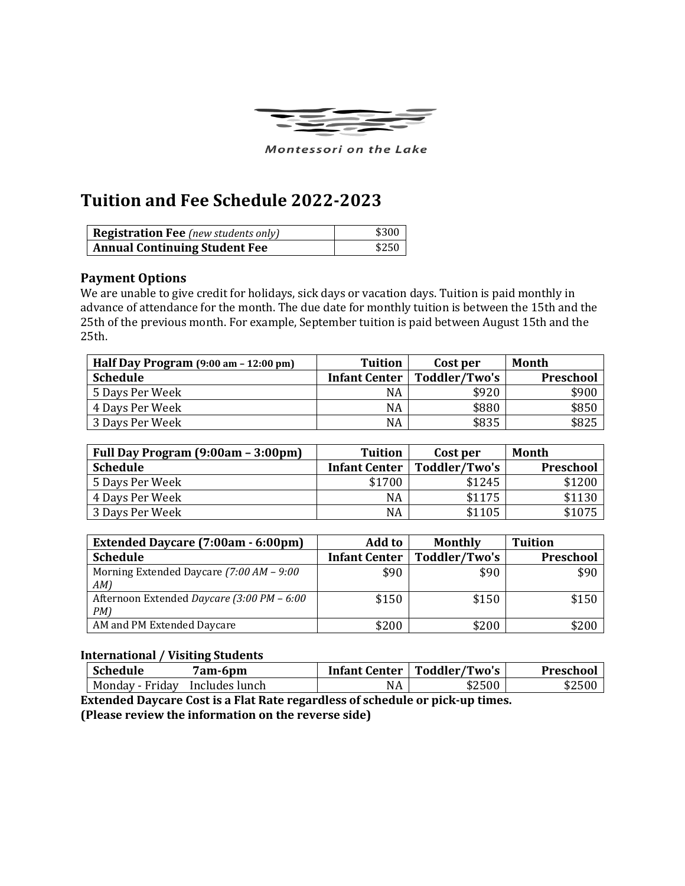

Montessori on the Lake

## **Tuition and Fee Schedule 2022-2023**

| <b>Registration Fee</b> (new students only) | \$300 |
|---------------------------------------------|-------|
| <b>Annual Continuing Student Fee</b>        | \$250 |

## **Payment Options**

We are unable to give credit for holidays, sick days or vacation days. Tuition is paid monthly in advance of attendance for the month. The due date for monthly tuition is between the 15th and the 25th of the previous month. For example, September tuition is paid between August 15th and the 25th.

| Half Day Program (9:00 am - 12:00 pm) | Tuition              | Cost per      | Month     |
|---------------------------------------|----------------------|---------------|-----------|
| <b>Schedule</b>                       | <b>Infant Center</b> | Toddler/Two's | Preschool |
| 5 Days Per Week                       | NA                   | \$920         | \$900     |
| 4 Days Per Week                       | <b>NA</b>            | \$880         | \$850     |
| 3 Days Per Week                       | <b>NA</b>            | \$835         | \$825     |

| Full Day Program (9:00am - 3:00pm) | <b>Tuition</b>       | Cost per      | Month     |
|------------------------------------|----------------------|---------------|-----------|
| <b>Schedule</b>                    | <b>Infant Center</b> | Toddler/Two's | Preschool |
| 5 Days Per Week                    | \$1700               | \$1245        | \$1200    |
| 4 Days Per Week                    | NA                   | \$1175        | \$1130    |
| 3 Days Per Week                    | NA                   | \$1105        | \$1075    |

| <b>Extended Daycare (7:00am - 6:00pm)</b>        | <b>Add to</b>        | <b>Monthly</b> | <b>Tuition</b> |
|--------------------------------------------------|----------------------|----------------|----------------|
| <b>Schedule</b>                                  | <b>Infant Center</b> | Toddler/Two's  | Preschool      |
| Morning Extended Daycare (7:00 AM - 9:00<br>AM   | \$90                 | \$90           | \$90           |
| Afternoon Extended Daycare (3:00 PM – 6:00<br>PM | \$150                | \$150          | \$150          |
| AM and PM Extended Daycare                       | \$200                | \$200          | \$200          |

## **International / Visiting Students**

| <b>Schedule</b> | am-6pm?        | <b>Infant Center</b> | Toddler/Two's | Preschool |
|-----------------|----------------|----------------------|---------------|-----------|
| Monday - Friday | Includes lunch | NA                   | \$2500        | \$2500    |

**Extended Daycare Cost is a Flat Rate regardless of schedule or pick-up times. (Please review the information on the reverse side)**